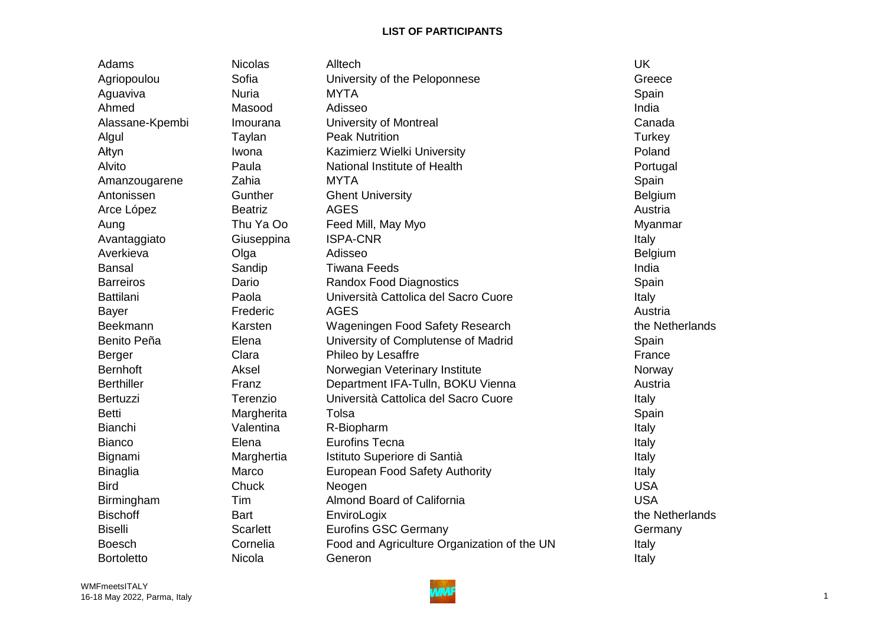Adams Nicolas Alltech UK Agriopoulou **Sofia** Sofia University of the Peloponnese Serverse Greece Aguaviva Nuria MYTA Spain Ahmed Masood Adisseo India Alassane-Kpembi Imourana University of Montreal Canada Algul Taylan Peak Nutrition Turkey Ałtyn Iwona Kazimierz Wielki University Poland Alvito **Paula** Paula National Institute of Health **Portugal** Amanzougarene Zahia MYTA Zahia MYTA Spain Antonissen **Gunther** Ghent University **Belgium** Belgium Arce López **Beatriz** Beatriz AGES **Austria** Aung **Thu Ya Oo Feed Mill, May Myo Night Contained Auntiversity** Myanmar Avantaggiato Giuseppina ISPA-CNR Italy Averkieva Olga Adisseo Belgium Bansal Sandip Tiwana Feeds India Barreiros Dario Randox Food Diagnostics Spain Battilani Cattolica Del Paola Cuore Italy Università Cattolica del Sacro Cuore Cuore Italy Bayer Frederic AGES Austria Beekmann **Karsten Wageningen Food Safety Research** the Netherlands Benito Peña **Elena** Elena University of Complutense of Madrid Spain Berger Clara Phileo by Lesaffre **France France** Bernhoft Morwegian Veterinary Institute Norway Norway Berthiller **Franz Department IFA-Tulln, BOKU Vienna** Austria Bertuzzi **El Terenzio** Università Cattolica del Sacro Cuore **Italy** Italy Betti Margherita Tolsa Spain Bianchi Valentina R-Biopharm Italy Italy Bianco Elena Eurofins Tecna Italy Bignami Marghertia Istituto Superiore di Santià Italy Binaglia **Marco** European Food Safety Authority **Italy** Italy Bird Chuck Neogen USA Birmingham Tim Almond Board of California USA Bischoff **Bart** Bart **EnviroLogix** EnviroLogit **EnviroLogies EnviroLogies EnviroLogies EnviroLogies EnviroLogies EnviroLogies EnviroLogies EnviroLogies EnviroLogies EnviroLogies EnviroLogies EnviroNag** Biselli Scarlett Eurofins GSC Germany Germany Germany Germany Boesch Cornelia Food and Agriculture Organization of the UN Italy Bortoletto Nicola Generon Italy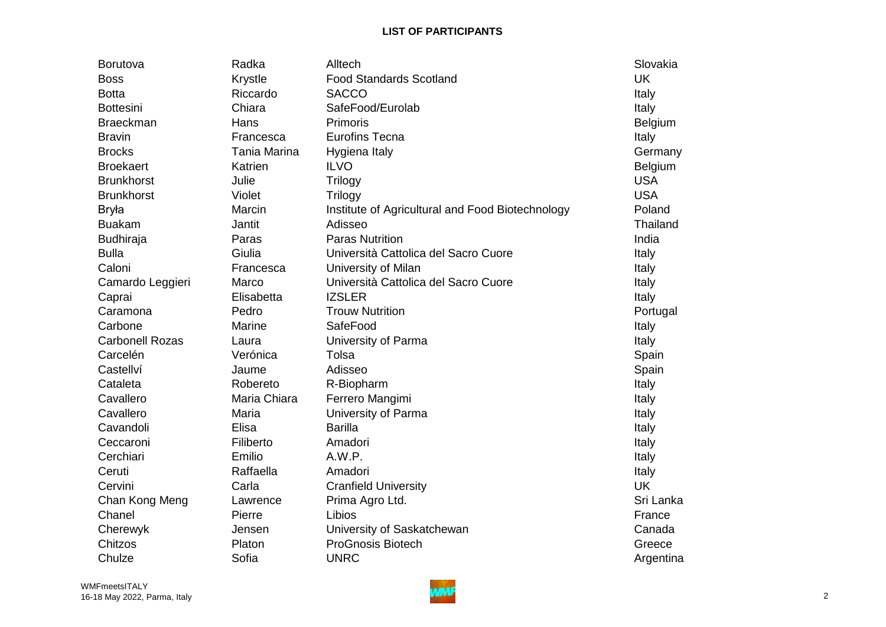| Borutova               | Radka          | Alltech                                          | Slovakia   |
|------------------------|----------------|--------------------------------------------------|------------|
| <b>Boss</b>            | <b>Krystle</b> | <b>Food Standards Scotland</b>                   | <b>UK</b>  |
| <b>Botta</b>           | Riccardo       | <b>SACCO</b>                                     | Italy      |
| <b>Bottesini</b>       | Chiara         | SafeFood/Eurolab                                 | Italy      |
| <b>Braeckman</b>       | Hans           | Primoris                                         | Belgium    |
| <b>Bravin</b>          | Francesca      | <b>Eurofins Tecna</b>                            | Italy      |
| <b>Brocks</b>          | Tania Marina   | Hygiena Italy                                    | Germany    |
| <b>Broekaert</b>       | Katrien        | <b>ILVO</b>                                      | Belgium    |
| <b>Brunkhorst</b>      | Julie          | Trilogy                                          | <b>USA</b> |
| <b>Brunkhorst</b>      | Violet         | <b>Trilogy</b>                                   | <b>USA</b> |
| <b>Bryła</b>           | Marcin         | Institute of Agricultural and Food Biotechnology | Poland     |
| <b>Buakam</b>          | Jantit         | Adisseo                                          | Thailand   |
| <b>Budhiraja</b>       | Paras          | <b>Paras Nutrition</b>                           | India      |
| <b>Bulla</b>           | Giulia         | Università Cattolica del Sacro Cuore             | Italy      |
| Caloni                 | Francesca      | University of Milan                              | Italy      |
| Camardo Leggieri       | Marco          | Università Cattolica del Sacro Cuore             | Italy      |
| Caprai                 | Elisabetta     | <b>IZSLER</b>                                    | Italy      |
| Caramona               | Pedro          | <b>Trouw Nutrition</b>                           | Portugal   |
| Carbone                | <b>Marine</b>  | SafeFood                                         | Italy      |
| <b>Carbonell Rozas</b> | Laura          | University of Parma                              | Italy      |
| Carcelén               | Verónica       | Tolsa                                            | Spain      |
| Castellví              | Jaume          | Adisseo                                          | Spain      |
| Cataleta               | Robereto       | R-Biopharm                                       | Italy      |
| Cavallero              | Maria Chiara   | Ferrero Mangimi                                  | Italy      |
| Cavallero              | Maria          | University of Parma                              | Italy      |
| Cavandoli              | Elisa          | <b>Barilla</b>                                   | Italy      |
| Ceccaroni              | Filiberto      | Amadori                                          | Italy      |
| Cerchiari              | Emilio         | A.W.P.                                           | Italy      |
| Ceruti                 | Raffaella      | Amadori                                          | Italy      |
| Cervini                | Carla          | <b>Cranfield University</b>                      | <b>UK</b>  |
| Chan Kong Meng         | Lawrence       | Prima Agro Ltd.                                  | Sri Lanka  |
| Chanel                 | Pierre         | Libios                                           | France     |
| Cherewyk               | Jensen         | University of Saskatchewan                       | Canada     |
| <b>Chitzos</b>         | Platon         | <b>ProGnosis Biotech</b>                         | Greece     |
| Chulze                 | Sofia          | <b>UNRC</b>                                      | Argentina  |

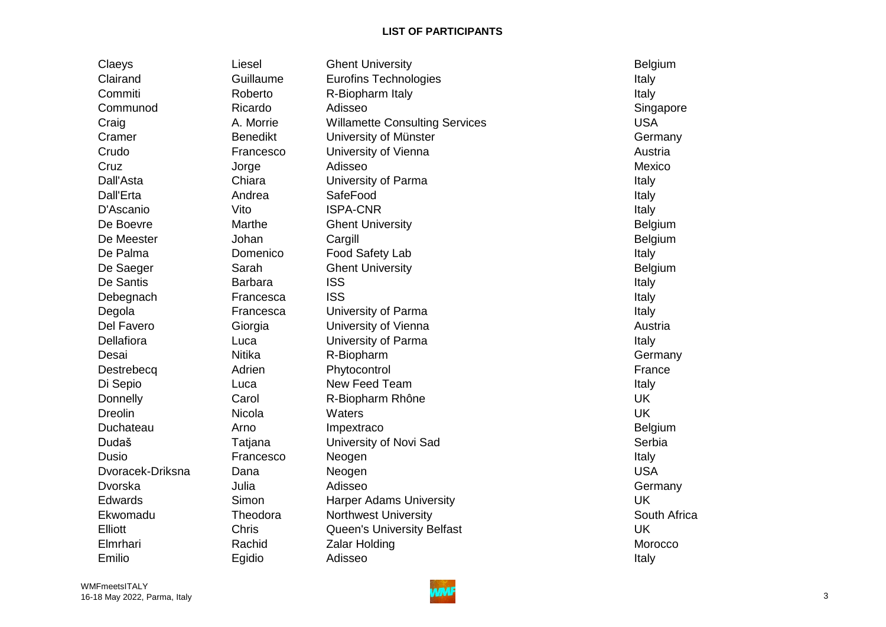| Claeys           | Liesel          | <b>Ghent University</b>               | Belgium        |
|------------------|-----------------|---------------------------------------|----------------|
| Clairand         | Guillaume       | <b>Eurofins Technologies</b>          | Italy          |
| Commiti          | Roberto         | R-Biopharm Italy                      | Italy          |
| Communod         | Ricardo         | Adisseo                               | Singapore      |
| Craig            | A. Morrie       | <b>Willamette Consulting Services</b> | <b>USA</b>     |
| Cramer           | <b>Benedikt</b> | University of Münster                 | Germany        |
| Crudo            | Francesco       | University of Vienna                  | Austria        |
| Cruz             | Jorge           | Adisseo                               | Mexico         |
| Dall'Asta        | Chiara          | University of Parma                   | Italy          |
| Dall'Erta        | Andrea          | SafeFood                              | Italy          |
| D'Ascanio        | Vito            | <b>ISPA-CNR</b>                       | Italy          |
| De Boevre        | Marthe          | <b>Ghent University</b>               | <b>Belgium</b> |
| De Meester       | Johan           | Cargill                               | Belgium        |
| De Palma         | Domenico        | Food Safety Lab                       | Italy          |
| De Saeger        | Sarah           | <b>Ghent University</b>               | Belgium        |
| De Santis        | <b>Barbara</b>  | <b>ISS</b>                            | Italy          |
| Debegnach        | Francesca       | <b>ISS</b>                            | Italy          |
| Degola           | Francesca       | University of Parma                   | Italy          |
| Del Favero       | Giorgia         | University of Vienna                  | Austria        |
| Dellafiora       | Luca            | University of Parma                   | Italy          |
| Desai            | <b>Nitika</b>   | R-Biopharm                            | Germany        |
| Destrebecq       | Adrien          | Phytocontrol                          | France         |
| Di Sepio         | Luca            | New Feed Team                         | Italy          |
| Donnelly         | Carol           | R-Biopharm Rhône                      | <b>UK</b>      |
| <b>Dreolin</b>   | Nicola          | Waters                                | <b>UK</b>      |
| Duchateau        | Arno            | Impextraco                            | <b>Belgium</b> |
| Dudaš            | Tatjana         | University of Novi Sad                | Serbia         |
| Dusio            | Francesco       | Neogen                                | Italy          |
| Dvoracek-Driksna | Dana            | Neogen                                | <b>USA</b>     |
| Dvorska          | Julia           | Adisseo                               | Germany        |
| Edwards          | Simon           | <b>Harper Adams University</b>        | <b>UK</b>      |
| Ekwomadu         | Theodora        | <b>Northwest University</b>           | South Africa   |
| Elliott          | Chris           | Queen's University Belfast            | <b>UK</b>      |
| Elmrhari         | Rachid          | <b>Zalar Holding</b>                  | Morocco        |
| Emilio           | Egidio          | Adisseo                               | Italy          |

 WMFmeetsITALY 16-18 May 2022, Parma, Italy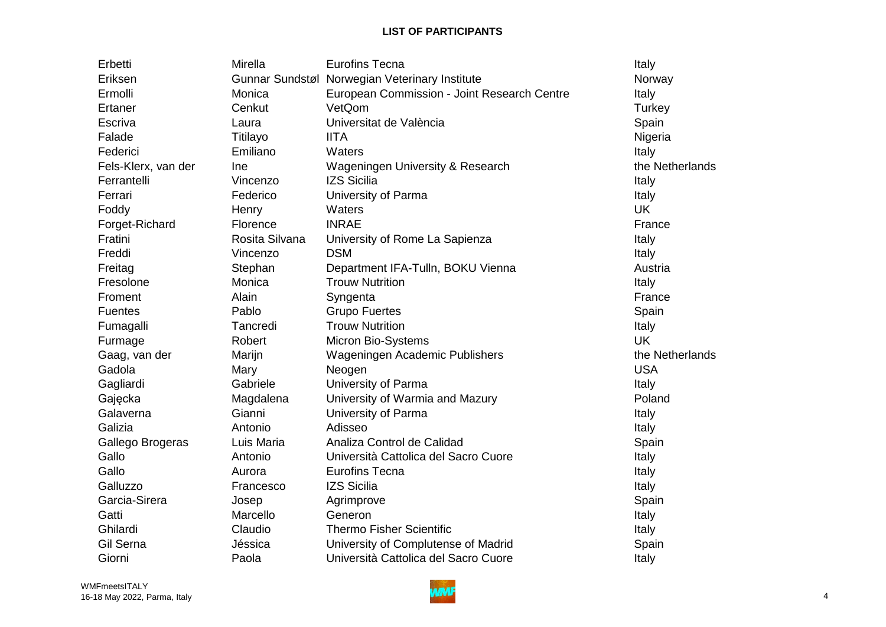| Erbetti             | Mirella        | <b>Eurofins Tecna</b>                          | Italy           |
|---------------------|----------------|------------------------------------------------|-----------------|
| Eriksen             |                | Gunnar Sundstøl Norwegian Veterinary Institute | Norway          |
| Ermolli             | Monica         | European Commission - Joint Research Centre    | Italy           |
| Ertaner             | Cenkut         | VetQom                                         | Turkey          |
| Escriva             | Laura          | Universitat de València                        | Spain           |
| Falade              | Titilayo       | <b>IITA</b>                                    | Nigeria         |
| Federici            | Emiliano       | Waters                                         | Italy           |
| Fels-Klerx, van der | Ine            | <b>Wageningen University &amp; Research</b>    | the Netherlands |
| Ferrantelli         | Vincenzo       | <b>IZS Sicilia</b>                             | Italy           |
| Ferrari             | Federico       | University of Parma                            | Italy           |
| Foddy               | Henry          | Waters                                         | <b>UK</b>       |
| Forget-Richard      | Florence       | <b>INRAE</b>                                   | France          |
| Fratini             | Rosita Silvana | University of Rome La Sapienza                 | Italy           |
| Freddi              | Vincenzo       | <b>DSM</b>                                     | Italy           |
| Freitag             | Stephan        | Department IFA-Tulln, BOKU Vienna              | Austria         |
| Fresolone           | Monica         | <b>Trouw Nutrition</b>                         | Italy           |
| Froment             | Alain          | Syngenta                                       | France          |
| <b>Fuentes</b>      | Pablo          | <b>Grupo Fuertes</b>                           | Spain           |
| Fumagalli           | Tancredi       | <b>Trouw Nutrition</b>                         | Italy           |
| Furmage             | Robert         | <b>Micron Bio-Systems</b>                      | <b>UK</b>       |
| Gaag, van der       | Marijn         | Wageningen Academic Publishers                 | the Netherlands |
| Gadola              | Mary           | Neogen                                         | <b>USA</b>      |
| Gagliardi           | Gabriele       | University of Parma                            | Italy           |
| Gajęcka             | Magdalena      | University of Warmia and Mazury                | Poland          |
| Galaverna           | Gianni         | University of Parma                            | Italy           |
| Galizia             | Antonio        | Adisseo                                        | Italy           |
| Gallego Brogeras    | Luis Maria     | Analiza Control de Calidad                     | Spain           |
| Gallo               | Antonio        | Università Cattolica del Sacro Cuore           | Italy           |
| Gallo               | Aurora         | <b>Eurofins Tecna</b>                          | Italy           |
| Galluzzo            | Francesco      | <b>IZS Sicilia</b>                             | Italy           |
| Garcia-Sirera       | Josep          | Agrimprove                                     | Spain           |
| Gatti               | Marcello       | Generon                                        | Italy           |
| Ghilardi            | Claudio        | <b>Thermo Fisher Scientific</b>                | Italy           |
| Gil Serna           | Jéssica        | University of Complutense of Madrid            | Spain           |
| Giorni              | Paola          | Università Cattolica del Sacro Cuore           | Italy           |

 WMFmeetsITALY 16-18 May 2022, Parma, Italy **1988** May 2022, Parma, Italy 1988 May 2022, Parma, Italy 1988 May 2022, Parma, Italy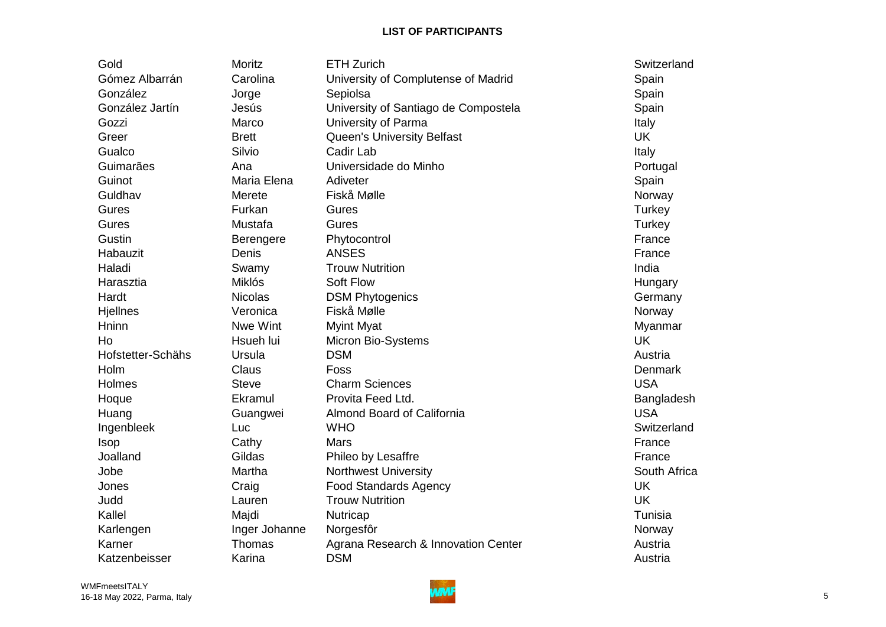| Gold              | Moritz         | <b>ETH Zurich</b>                    | Switzerland    |
|-------------------|----------------|--------------------------------------|----------------|
| Gómez Albarrán    | Carolina       | University of Complutense of Madrid  | Spain          |
| González          | Jorge          | Sepiolsa                             | Spain          |
| González Jartín   | Jesús          | University of Santiago de Compostela | Spain          |
| Gozzi             | Marco          | University of Parma                  | Italy          |
| Greer             | <b>Brett</b>   | <b>Queen's University Belfast</b>    | <b>UK</b>      |
| Gualco            | Silvio         | Cadir Lab                            | Italy          |
| Guimarães         | Ana            | Universidade do Minho                | Portugal       |
| Guinot            | Maria Elena    | Adiveter                             | Spain          |
| Guldhav           | Merete         | Fiskå Mølle                          | Norway         |
| Gures             | Furkan         | Gures                                | Turkey         |
| Gures             | Mustafa        | Gures                                | Turkey         |
| Gustin            | Berengere      | Phytocontrol                         | France         |
| Habauzit          | Denis          | <b>ANSES</b>                         | France         |
| Haladi            | Swamy          | <b>Trouw Nutrition</b>               | India          |
| Harasztia         | <b>Miklós</b>  | Soft Flow                            | Hungary        |
| Hardt             | <b>Nicolas</b> | <b>DSM Phytogenics</b>               | Germany        |
| Hjellnes          | Veronica       | Fiskå Mølle                          | Norway         |
| Hninn             | Nwe Wint       | <b>Myint Myat</b>                    | Myanmar        |
| Ho                | Hsueh lui      | Micron Bio-Systems                   | <b>UK</b>      |
| Hofstetter-Schähs | Ursula         | <b>DSM</b>                           | Austria        |
| Holm              | <b>Claus</b>   | Foss                                 | <b>Denmark</b> |
| Holmes            | <b>Steve</b>   | <b>Charm Sciences</b>                | <b>USA</b>     |
| Hoque             | Ekramul        | Provita Feed Ltd.                    | Bangladesh     |
| Huang             | Guangwei       | Almond Board of California           | <b>USA</b>     |
| Ingenbleek        | Luc            | <b>WHO</b>                           | Switzerland    |
| <b>Isop</b>       | Cathy          | Mars                                 | France         |
| Joalland          | Gildas         | Phileo by Lesaffre                   | France         |
| Jobe              | Martha         | <b>Northwest University</b>          | South Africa   |
| Jones             | Craig          | <b>Food Standards Agency</b>         | <b>UK</b>      |
| Judd              | Lauren         | <b>Trouw Nutrition</b>               | <b>UK</b>      |
| Kallel            | Majdi          | Nutricap                             | Tunisia        |
| Karlengen         | Inger Johanne  | Norgesfôr                            | Norway         |
| Karner            | Thomas         | Agrana Research & Innovation Center  | Austria        |
| Katzenbeisser     | Karina         | <b>DSM</b>                           | Austria        |

 WMFmeetsITALY 16-18 May 2022, Parma, Italy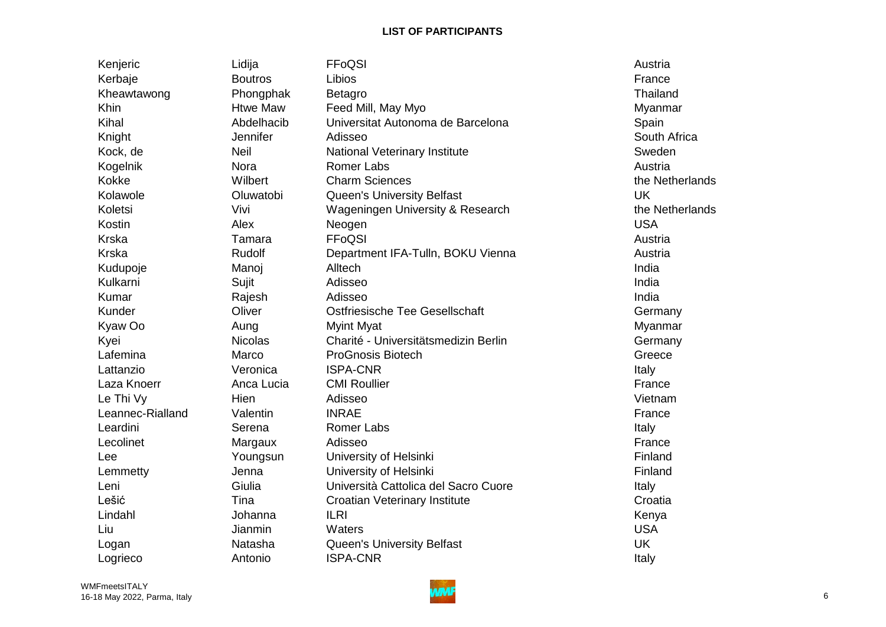| Kenjeric         | Lidija          | FFoQSI                                      | Austria         |
|------------------|-----------------|---------------------------------------------|-----------------|
| Kerbaje          | <b>Boutros</b>  | Libios                                      | France          |
| Kheawtawong      | Phongphak       | <b>Betagro</b>                              | Thailand        |
| Khin             | <b>Htwe Maw</b> | Feed Mill, May Myo                          | Myanmar         |
| Kihal            | Abdelhacib      | Universitat Autonoma de Barcelona           | Spain           |
| Knight           | Jennifer        | Adisseo                                     | South Africa    |
| Kock, de         | <b>Neil</b>     | National Veterinary Institute               | Sweden          |
| Kogelnik         | Nora            | Romer Labs                                  | Austria         |
| Kokke            | Wilbert         | <b>Charm Sciences</b>                       | the Netherlands |
| Kolawole         | Oluwatobi       | <b>Queen's University Belfast</b>           | <b>UK</b>       |
| Koletsi          | Vivi            | <b>Wageningen University &amp; Research</b> | the Netherlands |
| Kostin           | Alex            | Neogen                                      | <b>USA</b>      |
| <b>Krska</b>     | Tamara          | FFoQSI                                      | Austria         |
| <b>Krska</b>     | Rudolf          | Department IFA-Tulln, BOKU Vienna           | Austria         |
| Kudupoje         | Manoj           | Alltech                                     | India           |
| Kulkarni         | Sujit           | Adisseo                                     | India           |
| Kumar            | Rajesh          | Adisseo                                     | India           |
| Kunder           | Oliver          | Ostfriesische Tee Gesellschaft              | Germany         |
| Kyaw Oo          | Aung            | <b>Myint Myat</b>                           | Myanmar         |
| Kyei             | <b>Nicolas</b>  | Charité - Universitätsmedizin Berlin        | Germany         |
| Lafemina         | Marco           | <b>ProGnosis Biotech</b>                    | Greece          |
| Lattanzio        | Veronica        | <b>ISPA-CNR</b>                             | Italy           |
| Laza Knoerr      | Anca Lucia      | <b>CMI Roullier</b>                         | France          |
| Le Thi Vy        | Hien            | Adisseo                                     | Vietnam         |
| Leannec-Rialland | Valentin        | <b>INRAE</b>                                | France          |
| Leardini         | Serena          | <b>Romer Labs</b>                           | Italy           |
| Lecolinet        | Margaux         | Adisseo                                     | France          |
| Lee              | Youngsun        | University of Helsinki                      | Finland         |
| Lemmetty         | Jenna           | University of Helsinki                      | Finland         |
| Leni             | Giulia          | Università Cattolica del Sacro Cuore        | Italy           |
| Lešić            | Tina            | <b>Croatian Veterinary Institute</b>        | Croatia         |
| Lindahl          | Johanna         | <b>ILRI</b>                                 | Kenya           |
| Liu              | Jianmin         | Waters                                      | <b>USA</b>      |
| Logan            | Natasha         | <b>Queen's University Belfast</b>           | <b>UK</b>       |
| Logrieco         | Antonio         | <b>ISPA-CNR</b>                             | Italy           |
|                  |                 |                                             |                 |

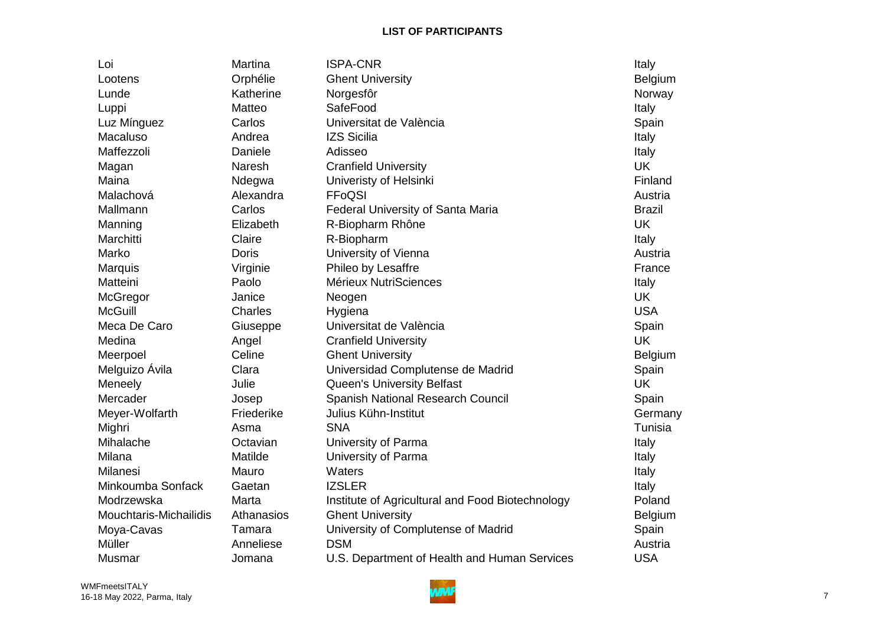| Loi                    | Martina      | <b>ISPA-CNR</b>                                  | Italy         |
|------------------------|--------------|--------------------------------------------------|---------------|
| Lootens                | Orphélie     | <b>Ghent University</b>                          | Belgium       |
| Lunde                  | Katherine    | Norgesfôr                                        | Norway        |
| Luppi                  | Matteo       | SafeFood                                         | Italy         |
| Luz Mínguez            | Carlos       | Universitat de València                          | Spain         |
| Macaluso               | Andrea       | <b>IZS Sicilia</b>                               | Italy         |
| Maffezzoli             | Daniele      | Adisseo                                          | Italy         |
| Magan                  | Naresh       | <b>Cranfield University</b>                      | <b>UK</b>     |
| Maina                  | Ndegwa       | Univeristy of Helsinki                           | Finland       |
| Malachová              | Alexandra    | FFoQSI                                           | Austria       |
| Mallmann               | Carlos       | Federal University of Santa Maria                | <b>Brazil</b> |
| Manning                | Elizabeth    | R-Biopharm Rhône                                 | <b>UK</b>     |
| Marchitti              | Claire       | R-Biopharm                                       | Italy         |
| Marko                  | <b>Doris</b> | University of Vienna                             | Austria       |
| Marquis                | Virginie     | Phileo by Lesaffre                               | France        |
| Matteini               | Paolo        | Mérieux NutriSciences                            | Italy         |
| McGregor               | Janice       | Neogen                                           | <b>UK</b>     |
| <b>McGuill</b>         | Charles      | Hygiena                                          | <b>USA</b>    |
| Meca De Caro           | Giuseppe     | Universitat de València                          | Spain         |
| Medina                 | Angel        | <b>Cranfield University</b>                      | <b>UK</b>     |
| Meerpoel               | Celine       | <b>Ghent University</b>                          | Belgium       |
| Melguizo Ávila         | Clara        | Universidad Complutense de Madrid                | Spain         |
| Meneely                | Julie        | <b>Queen's University Belfast</b>                | <b>UK</b>     |
| Mercader               | Josep        | Spanish National Research Council                | Spain         |
| Meyer-Wolfarth         | Friederike   | Julius Kühn-Institut                             | Germany       |
| Mighri                 | Asma         | <b>SNA</b>                                       | Tunisia       |
| Mihalache              | Octavian     | University of Parma                              | Italy         |
| Milana                 | Matilde      | University of Parma                              | Italy         |
| <b>Milanesi</b>        | Mauro        | Waters                                           | Italy         |
| Minkoumba Sonfack      | Gaetan       | <b>IZSLER</b>                                    | Italy         |
| Modrzewska             | Marta        | Institute of Agricultural and Food Biotechnology | Poland        |
| Mouchtaris-Michailidis | Athanasios   | <b>Ghent University</b>                          | Belgium       |
| Moya-Cavas             | Tamara       | University of Complutense of Madrid              | Spain         |
| Müller                 | Anneliese    | <b>DSM</b>                                       | Austria       |
| Musmar                 | Jomana       | U.S. Department of Health and Human Services     | <b>USA</b>    |

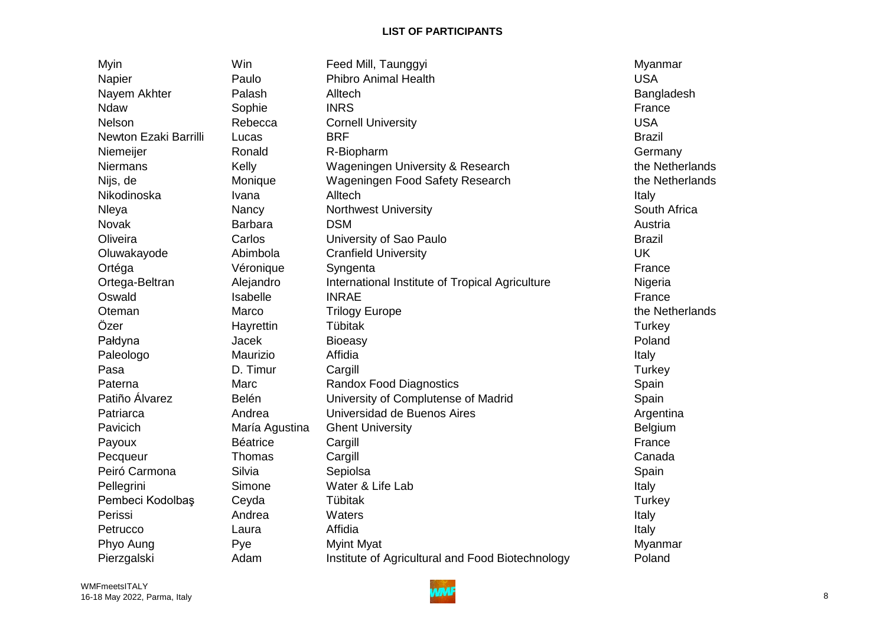| Myin                  | Win             | Feed Mill, Taunggyi                              | Myanmar         |
|-----------------------|-----------------|--------------------------------------------------|-----------------|
| Napier                | Paulo           | <b>Phibro Animal Health</b>                      | <b>USA</b>      |
| Nayem Akhter          | Palash          | Alltech                                          | Bangladesh      |
| Ndaw                  | Sophie          | <b>INRS</b>                                      | France          |
| <b>Nelson</b>         | Rebecca         | <b>Cornell University</b>                        | <b>USA</b>      |
| Newton Ezaki Barrilli | Lucas           | <b>BRF</b>                                       | <b>Brazil</b>   |
| Niemeijer             | Ronald          | R-Biopharm                                       | Germany         |
| <b>Niermans</b>       | Kelly           | Wageningen University & Research                 | the Netherlands |
| Nijs, de              | Monique         | Wageningen Food Safety Research                  | the Netherlands |
| Nikodinoska           | Ivana           | Alltech                                          | Italy           |
| Nleya                 | Nancy           | <b>Northwest University</b>                      | South Africa    |
| Novak                 | <b>Barbara</b>  | <b>DSM</b>                                       | Austria         |
| Oliveira              | Carlos          | University of Sao Paulo                          | <b>Brazil</b>   |
| Oluwakayode           | Abimbola        | <b>Cranfield University</b>                      | <b>UK</b>       |
| Ortéga                | Véronique       | Syngenta                                         | France          |
| Ortega-Beltran        | Alejandro       | International Institute of Tropical Agriculture  | Nigeria         |
| Oswald                | Isabelle        | <b>INRAE</b>                                     | France          |
| Oteman                | Marco           | <b>Trilogy Europe</b>                            | the Netherlands |
| Özer                  | Hayrettin       | Tübitak                                          | Turkey          |
| Pałdyna               | Jacek           | <b>Bioeasy</b>                                   | Poland          |
| Paleologo             | Maurizio        | Affidia                                          | Italy           |
| Pasa                  | D. Timur        | Cargill                                          | Turkey          |
| Paterna               | Marc            | <b>Randox Food Diagnostics</b>                   | Spain           |
| Patiño Álvarez        | Belén           | University of Complutense of Madrid              | Spain           |
| Patriarca             | Andrea          | Universidad de Buenos Aires                      | Argentina       |
| Pavicich              | María Agustina  | <b>Ghent University</b>                          | <b>Belgium</b>  |
| Payoux                | <b>Béatrice</b> | Cargill                                          | France          |
| Pecqueur              | Thomas          | Cargill                                          | Canada          |
| Peiró Carmona         | Silvia          | Sepiolsa                                         | Spain           |
| Pellegrini            | Simone          | Water & Life Lab                                 | Italy           |
| Pembeci Kodolbaş      | Ceyda           | Tübitak                                          | Turkey          |
| Perissi               | Andrea          | Waters                                           | Italy           |
| Petrucco              | Laura           | Affidia                                          | Italy           |
| Phyo Aung             | Pye             | <b>Myint Myat</b>                                | Myanmar         |
| Pierzgalski           | Adam            | Institute of Agricultural and Food Biotechnology | Poland          |

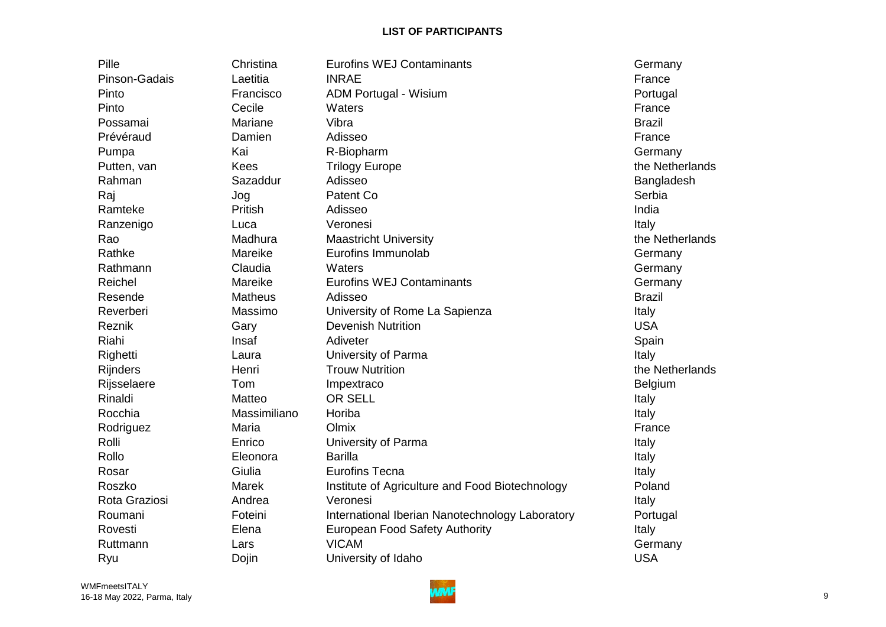| Pille           | Christina      | <b>Eurofins WEJ Contaminants</b>                | Germany         |
|-----------------|----------------|-------------------------------------------------|-----------------|
| Pinson-Gadais   | Laetitia       | <b>INRAE</b>                                    | France          |
| Pinto           | Francisco      | ADM Portugal - Wisium                           | Portugal        |
| Pinto           | Cecile         | Waters                                          | France          |
| Possamai        | Mariane        | Vibra                                           | <b>Brazil</b>   |
| Prévéraud       | Damien         | Adisseo                                         | France          |
| Pumpa           | Kai            | R-Biopharm                                      | Germany         |
| Putten, van     | <b>Kees</b>    | <b>Trilogy Europe</b>                           | the Netherlands |
| Rahman          | Sazaddur       | Adisseo                                         | Bangladesh      |
| Raj             | Jog            | Patent Co                                       | Serbia          |
| Ramteke         | Pritish        | Adisseo                                         | India           |
| Ranzenigo       | Luca           | Veronesi                                        | Italy           |
| Rao             | Madhura        | <b>Maastricht University</b>                    | the Netherlands |
| Rathke          | Mareike        | Eurofins Immunolab                              | Germany         |
| Rathmann        | Claudia        | Waters                                          | Germany         |
| Reichel         | Mareike        | <b>Eurofins WEJ Contaminants</b>                | Germany         |
| Resende         | <b>Matheus</b> | Adisseo                                         | <b>Brazil</b>   |
| Reverberi       | Massimo        | University of Rome La Sapienza                  | Italy           |
| Reznik          | Gary           | <b>Devenish Nutrition</b>                       | <b>USA</b>      |
| Riahi           | Insaf          | Adiveter                                        | Spain           |
| Righetti        | Laura          | University of Parma                             | Italy           |
| <b>Rijnders</b> | Henri          | <b>Trouw Nutrition</b>                          | the Netherlands |
| Rijsselaere     | Tom            | Impextraco                                      | Belgium         |
| Rinaldi         | Matteo         | <b>OR SELL</b>                                  | Italy           |
| Rocchia         | Massimiliano   | Horiba                                          | Italy           |
| Rodriguez       | Maria          | Olmix                                           | France          |
| Rolli           | Enrico         | University of Parma                             | Italy           |
| Rollo           | Eleonora       | <b>Barilla</b>                                  | Italy           |
| Rosar           | Giulia         | <b>Eurofins Tecna</b>                           | Italy           |
| Roszko          | Marek          | Institute of Agriculture and Food Biotechnology | Poland          |
| Rota Graziosi   | Andrea         | Veronesi                                        | Italy           |
| Roumani         | Foteini        | International Iberian Nanotechnology Laboratory | Portugal        |
| Rovesti         | Elena          | <b>European Food Safety Authority</b>           | Italy           |
| Ruttmann        | Lars           | <b>VICAM</b>                                    | Germany         |
| Ryu             | Dojin          | University of Idaho                             | <b>USA</b>      |

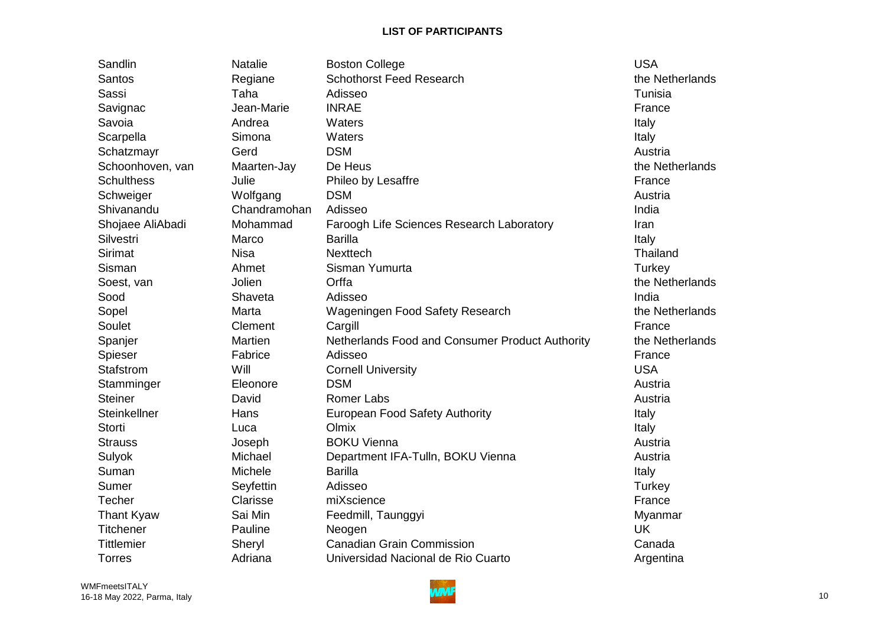Sandlin Matalie Boston College Natalie Boston College Natalie Boston College Natalie Boston College Natalie Boston College Natalie Boston College Natalie Boston College Natalie Boston College Natalie Boston College Natalie Santos **Santos** Regiane Schothorst Feed Research the Netherlands Sassi Taha Adisseo Tunisia Savignac Jean-Marie INRAE France Savoia Andrea Waters Italy Scarpella Simona Waters Italy Schatzmayr Gerd DSM Austria Schoonhoven, van Maarten-Jay De Heus the Netherlands the Netherlands Schulthess and Julie and Phileo by Lesaffre **France** France Schweiger Wolfgang DSM Austria Shivanandu Chandramohan Adisseo India Shojaee AliAbadi Mohammad Faroogh Life Sciences Research Laboratory **Iran** Silvestri Marco Barilla Italy Sirimat Nisa Nisa Nexttech Sirimat Thailand Sisman and Ahmet Sisman Yumurta and Ahmet Sisman Yumurta and Turkey Soest, van aan Jolien Orffa the Netherlands of the Netherlands Sood Shaveta Adisseo Sood India Sopel Marta Wageningen Food Safety Research the Netherlands Soulet Clement Cargill Carginal Cargill Carginal Carginal Carginal Carginal Carginal Carginal Carginal Carginal Carginal Carginal Carginal Carginal Carginal Carginal Carginal Carginal Carginal Carginal Carginal Carginal Ca Spanjer Martien Martien Netherlands Food and Consumer Product Authority the Netherlands Spieser Fabrice Adisseo France France Stafstrom Will Cornell University **Stafstrom** USA Stamminger Eleonore DSM Austria Steiner **David Romer Labs Communist Contract Austria** Steinkellner **Hans** European Food Safety Authority **Italy** Italy Storti Luca Olmix Italy Strauss Joseph BOKU Vienna Austria Sulyok Michael Department IFA-Tulln, BOKU Vienna Austria Suman Michele Barilla International Michele Michele Barilla Sumer Seyfettin Adisseo Sumer Seyfettin Adisseo Techer Clarisse miXscience enter the France Thant Kyaw Sai Min Feedmill, Taunggyi **Myanmar** Myanmar Titchener Pauline Neogen UK Tittlemier Sheryl Canadian Grain Commission Canada Torres **Adriana** Universidad Nacional de Rio Cuarto Argentina